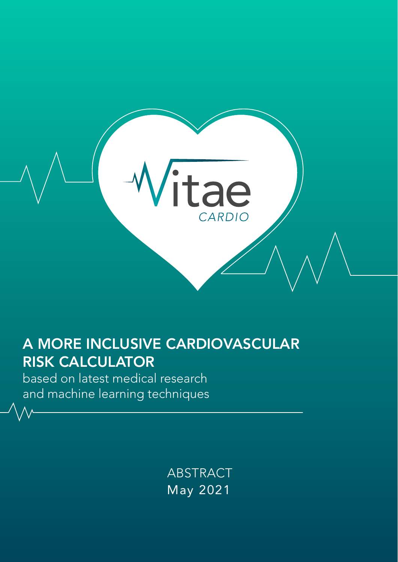

# A MORE INCLUSIVE CARDIOVASCULAR RISK CALCULATOR

based on latest medical research and machine learning techniques

> May 2021 ABSTRACT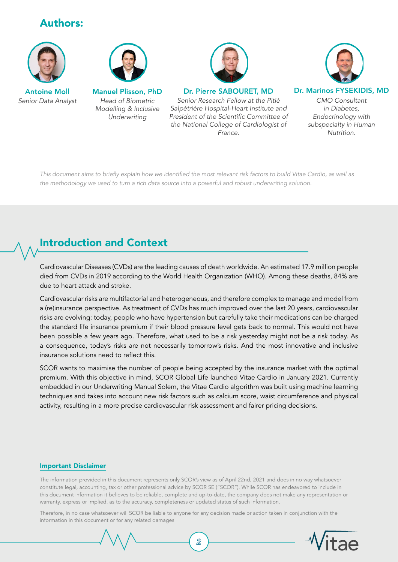# Authors:



*Senior Data Analyst*



*Head of Biometric Modelling & Inclusive Underwriting*



Antoine Moll Manuel Plisson, PhD Dr. Pierre SABOURET, MD Dr. Marinos FYSEKIDIS, MD

*Senior Research Fellow at the Pitié Salpétrière Hospital-Heart Institute and*  President of the Scientific Committee of the National College of Cardiologist of *France.*



CMO Consultant *in Diabetes, Endocrinology with subspecialty in Human Nutrition.*

This document aims to briefly explain how we identified the most relevant risk factors to build Vitae Cardio, as well as the methodology we used to turn a rich data source into a powerful and robust underwriting solution.

# Introduction and Context

Cardiovascular Diseases (CVDs) are the leading causes of death worldwide. An estimated 17.9 million people died from CVDs in 2019 according to the World Health Organization (WHO). Among these deaths, 84% are due to heart attack and stroke.

Cardiovascular risks are multifactorial and heterogeneous, and therefore complex to manage and model from a (re)insurance perspective. As treatment of CVDs has much improved over the last 20 years, cardiovascular risks are evolving: today, people who have hypertension but carefully take their medications can be charged the standard life insurance premium if their blood pressure level gets back to normal. This would not have been possible a few years ago. Therefore, what used to be a risk yesterday might not be a risk today. As a consequence, today's risks are not necessarily tomorrow's risks. And the most innovative and inclusive insurance solutions need to reflect this.

SCOR wants to maximise the number of people being accepted by the insurance market with the optimal premium. With this objective in mind, SCOR Global Life launched Vitae Cardio in January 2021. Currently embedded in our Underwriting Manual Solem, the Vitae Cardio algorithm was built using machine learning techniques and takes into account new risk factors such as calcium score, waist circumference and physical activity, resulting in a more precise cardiovascular risk assessment and fairer pricing decisions.

#### Important Disclaimer

The information provided in this document represents only SCOR's view as of April 22nd, 2021 and does in no way whatsoever constitute legal, accounting, tax or other professional advice by SCOR SE ("SCOR"). While SCOR has endeavored to include in this document information it believes to be reliable, complete and up-to-date, the company does not make any representation or warranty, express or implied, as to the accuracy, completeness or updated status of such information.

Therefore, in no case whatsoever will SCOR be liable to anyone for any decision made or action taken in conjunction with the information in this document or for any related damages

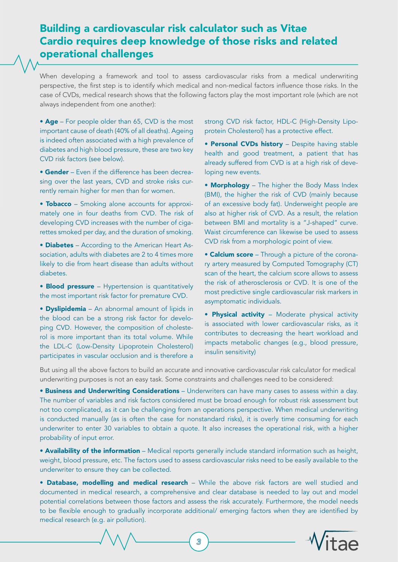## Building a cardiovascular risk calculator such as Vitae Cardio requires deep knowledge of those risks and related operational challenges

When developing a framework and tool to assess cardiovascular risks from a medical underwriting perspective, the first step is to identify which medical and non-medical factors influence those risks. In the case of CVDs, medical research shows that the following factors play the most important role (which are not always independent from one another):

• Age – For people older than 65, CVD is the most important cause of death (40% of all deaths). Ageing is indeed often associated with a high prevalence of diabetes and high blood pressure, these are two key CVD risk factors (see below).

• Gender – Even if the difference has been decreasing over the last years, CVD and stroke risks currently remain higher for men than for women.

• Tobacco – Smoking alone accounts for approximately one in four deaths from CVD. The risk of developing CVD increases with the number of cigarettes smoked per day, and the duration of smoking.

• Diabetes – According to the American Heart Association, adults with diabetes are 2 to 4 times more likely to die from heart disease than adults without diabetes.

• **Blood pressure** – Hypertension is quantitatively the most important risk factor for premature CVD.

• Dyslipidemia – An abnormal amount of lipids in the blood can be a strong risk factor for developing CVD. However, the composition of cholesterol is more important than its total volume. While the LDL-C (Low-Density Lipoprotein Cholesterol) participates in vascular occlusion and is therefore a strong CVD risk factor, HDL-C (High-Density Lipoprotein Cholesterol) has a protective effect.

• Personal CVDs history - Despite having stable health and good treatment, a patient that has already suffered from CVD is at a high risk of developing new events.

• Morphology - The higher the Body Mass Index (BMI), the higher the risk of CVD (mainly because of an excessive body fat). Underweight people are also at higher risk of CVD. As a result, the relation between BMI and mortality is a "J-shaped" curve. Waist circumference can likewise be used to assess CVD risk from a morphologic point of view.

• Calcium score – Through a picture of the coronary artery measured by Computed Tomography (CT) scan of the heart, the calcium score allows to assess the risk of atherosclerosis or CVD. It is one of the most predictive single cardiovascular risk markers in asymptomatic individuals.

• Physical activity - Moderate physical activity is associated with lower cardiovascular risks, as it contributes to decreasing the heart workload and impacts metabolic changes (e.g., blood pressure, insulin sensitivity)

But using all the above factors to build an accurate and innovative cardiovascular risk calculator for medical underwriting purposes is not an easy task. Some constraints and challenges need to be considered:

**• Business and Underwriting Considerations** – Underwriters can have many cases to assess within a day. The number of variables and risk factors considered must be broad enough for robust risk assessment but not too complicated, as it can be challenging from an operations perspective. When medical underwriting is conducted manually (as is often the case for nonstandard risks), it is overly time consuming for each underwriter to enter 30 variables to obtain a quote. It also increases the operational risk, with a higher probability of input error.

• Availability of the information – Medical reports generally include standard information such as height, weight, blood pressure, etc. The factors used to assess cardiovascular risks need to be easily available to the underwriter to ensure they can be collected.

• Database, modelling and medical research – While the above risk factors are well studied and documented in medical research, a comprehensive and clear database is needed to lay out and model potential correlations between those factors and assess the risk accurately. Furthermore, the model needs to be flexible enough to gradually incorporate additional/ emerging factors when they are identified by medical research (e.g. air pollution).



*3*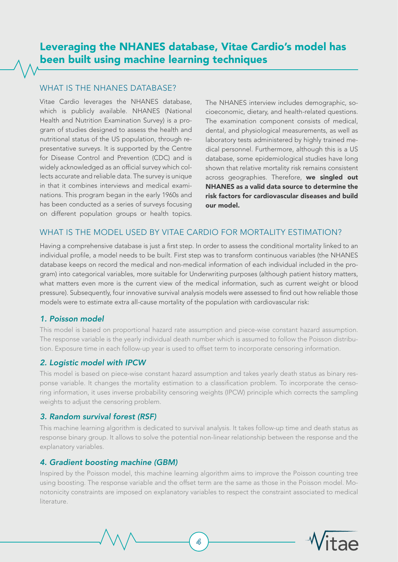# Leveraging the NHANES database, Vitae Cardio's model has been built using machine learning techniques

### WHAT IS THE NHANES DATABASE?

Vitae Cardio leverages the NHANES database, which is publicly available. NHANES (National Health and Nutrition Examination Survey) is a program of studies designed to assess the health and nutritional status of the US population, through representative surveys. It is supported by the Centre for Disease Control and Prevention (CDC) and is widely acknowledged as an official survey which collects accurate and reliable data. The survey is unique in that it combines interviews and medical examinations. This program began in the early 1960s and has been conducted as a series of surveys focusing on different population groups or health topics.

The NHANES interview includes demographic, socioeconomic, dietary, and health-related questions. The examination component consists of medical, dental, and physiological measurements, as well as laboratory tests administered by highly trained medical personnel. Furthermore, although this is a US database, some epidemiological studies have long shown that relative mortality risk remains consistent across geographies. Therefore, we singled out NHANES as a valid data source to determine the risk factors for cardiovascular diseases and build our model.

### WHAT IS THE MODEL USED BY VITAE CARDIO FOR MORTALITY ESTIMATION?

Having a comprehensive database is just a first step. In order to assess the conditional mortality linked to an individual profile, a model needs to be built. First step was to transform continuous variables (the NHANES database keeps on record the medical and non-medical information of each individual included in the program) into categorical variables, more suitable for Underwriting purposes (although patient history matters, what matters even more is the current view of the medical information, such as current weight or blood pressure). Subsequently, four innovative survival analysis models were assessed to find out how reliable those models were to estimate extra all-cause mortality of the population with cardiovascular risk:

### *1. Poisson model*

This model is based on proportional hazard rate assumption and piece-wise constant hazard assumption. The response variable is the yearly individual death number which is assumed to follow the Poisson distribution. Exposure time in each follow-up year is used to offset term to incorporate censoring information.

### *2. Logistic model with IPCW*

This model is based on piece-wise constant hazard assumption and takes yearly death status as binary response variable. It changes the mortality estimation to a classification problem. To incorporate the censoring information, it uses inverse probability censoring weights (IPCW) principle which corrects the sampling weights to adjust the censoring problem.

### *3. Random survival forest (RSF)*

This machine learning algorithm is dedicated to survival analysis. It takes follow-up time and death status as response binary group. It allows to solve the potential non-linear relationship between the response and the explanatory variables.

### *4. Gradient boosting machine (GBM)*

Inspired by the Poisson model, this machine learning algorithm aims to improve the Poisson counting tree using boosting. The response variable and the offset term are the same as those in the Poisson model. Monotonicity constraints are imposed on explanatory variables to respect the constraint associated to medical literature.